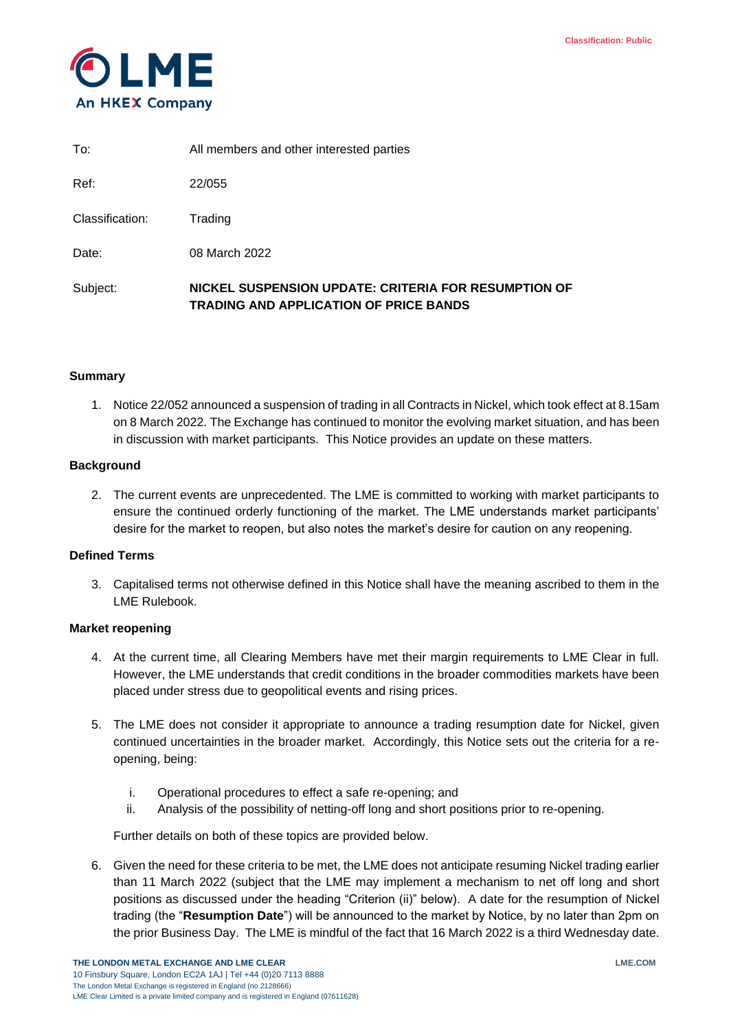

| Subject:        | NICKEL SUSPENSION UPDATE: CRITERIA FOR RESUMPTION OF<br><b>TRADING AND APPLICATION OF PRICE BANDS</b> |
|-----------------|-------------------------------------------------------------------------------------------------------|
| Date:           | 08 March 2022                                                                                         |
| Classification: | Trading                                                                                               |
| Ref:            | 22/055                                                                                                |
| To:             | All members and other interested parties                                                              |

# **Summary**

1. Notice 22/052 announced a suspension of trading in all Contracts in Nickel, which took effect at 8.15am on 8 March 2022. The Exchange has continued to monitor the evolving market situation, and has been in discussion with market participants. This Notice provides an update on these matters.

# **Background**

2. The current events are unprecedented. The LME is committed to working with market participants to ensure the continued orderly functioning of the market. The LME understands market participants' desire for the market to reopen, but also notes the market's desire for caution on any reopening.

# **Defined Terms**

3. Capitalised terms not otherwise defined in this Notice shall have the meaning ascribed to them in the LME Rulebook.

#### **Market reopening**

- 4. At the current time, all Clearing Members have met their margin requirements to LME Clear in full. However, the LME understands that credit conditions in the broader commodities markets have been placed under stress due to geopolitical events and rising prices.
- 5. The LME does not consider it appropriate to announce a trading resumption date for Nickel, given continued uncertainties in the broader market. Accordingly, this Notice sets out the criteria for a reopening, being:
	- i. Operational procedures to effect a safe re-opening; and
	- ii. Analysis of the possibility of netting-off long and short positions prior to re-opening.

Further details on both of these topics are provided below.

6. Given the need for these criteria to be met, the LME does not anticipate resuming Nickel trading earlier than 11 March 2022 (subject that the LME may implement a mechanism to net off long and short positions as discussed under the heading "Criterion (ii)" below). A date for the resumption of Nickel trading (the "**Resumption Date**") will be announced to the market by Notice, by no later than 2pm on the prior Business Day. The LME is mindful of the fact that 16 March 2022 is a third Wednesday date.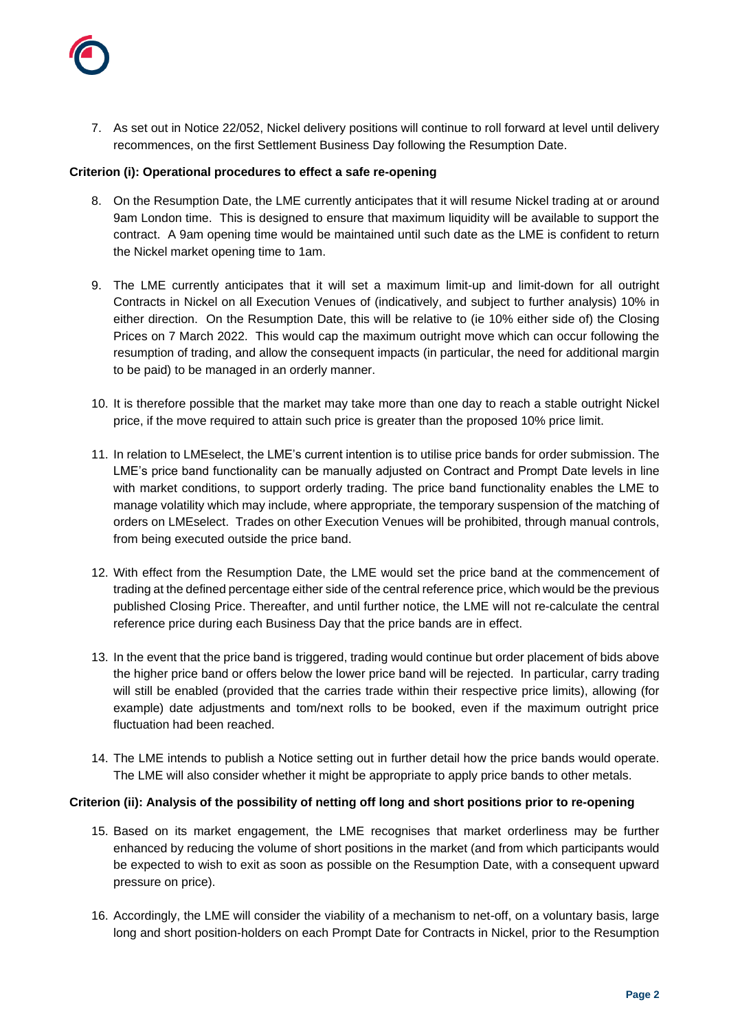

7. As set out in Notice 22/052, Nickel delivery positions will continue to roll forward at level until delivery recommences, on the first Settlement Business Day following the Resumption Date.

### **Criterion (i): Operational procedures to effect a safe re-opening**

- 8. On the Resumption Date, the LME currently anticipates that it will resume Nickel trading at or around 9am London time. This is designed to ensure that maximum liquidity will be available to support the contract. A 9am opening time would be maintained until such date as the LME is confident to return the Nickel market opening time to 1am.
- 9. The LME currently anticipates that it will set a maximum limit-up and limit-down for all outright Contracts in Nickel on all Execution Venues of (indicatively, and subject to further analysis) 10% in either direction. On the Resumption Date, this will be relative to (ie 10% either side of) the Closing Prices on 7 March 2022. This would cap the maximum outright move which can occur following the resumption of trading, and allow the consequent impacts (in particular, the need for additional margin to be paid) to be managed in an orderly manner.
- 10. It is therefore possible that the market may take more than one day to reach a stable outright Nickel price, if the move required to attain such price is greater than the proposed 10% price limit.
- 11. In relation to LMEselect, the LME's current intention is to utilise price bands for order submission. The LME's price band functionality can be manually adjusted on Contract and Prompt Date levels in line with market conditions, to support orderly trading. The price band functionality enables the LME to manage volatility which may include, where appropriate, the temporary suspension of the matching of orders on LMEselect. Trades on other Execution Venues will be prohibited, through manual controls, from being executed outside the price band.
- 12. With effect from the Resumption Date, the LME would set the price band at the commencement of trading at the defined percentage either side of the central reference price, which would be the previous published Closing Price. Thereafter, and until further notice, the LME will not re-calculate the central reference price during each Business Day that the price bands are in effect.
- 13. In the event that the price band is triggered, trading would continue but order placement of bids above the higher price band or offers below the lower price band will be rejected. In particular, carry trading will still be enabled (provided that the carries trade within their respective price limits), allowing (for example) date adjustments and tom/next rolls to be booked, even if the maximum outright price fluctuation had been reached.
- 14. The LME intends to publish a Notice setting out in further detail how the price bands would operate. The LME will also consider whether it might be appropriate to apply price bands to other metals.

#### **Criterion (ii): Analysis of the possibility of netting off long and short positions prior to re-opening**

- 15. Based on its market engagement, the LME recognises that market orderliness may be further enhanced by reducing the volume of short positions in the market (and from which participants would be expected to wish to exit as soon as possible on the Resumption Date, with a consequent upward pressure on price).
- 16. Accordingly, the LME will consider the viability of a mechanism to net-off, on a voluntary basis, large long and short position-holders on each Prompt Date for Contracts in Nickel, prior to the Resumption